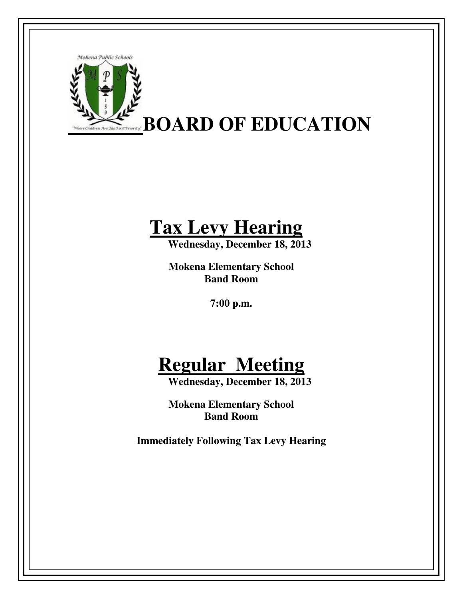

## **Tax Levy Hearing**

 **Wednesday, December 18, 2013** 

**Mokena Elementary School Band Room** 

**7:00 p.m.** 

## **Regular Meeting**

 **Wednesday, December 18, 2013** 

**Mokena Elementary School Band Room** 

**Immediately Following Tax Levy Hearing**